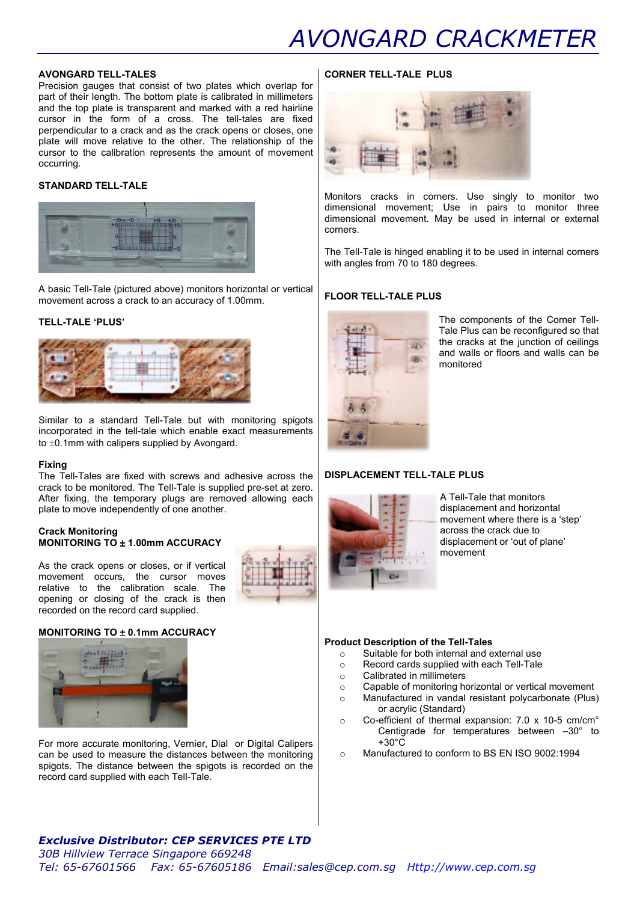# AVONGARD CRACKMETER

#### AVONGARD TELL-TALES

Precision gauges that consist of two plates which overlap for part of their length. The bottom plate is calibrated in millimeters and the top plate is transparent and marked with a red hairline cursor in the form of a cross. The tell-tales are fixed perpendicular to a crack and as the crack opens or closes, one plate will move relative to the other. The relationship of the cursor to the calibration represents the amount of movement occurring.

# STANDARD TELL-TALE



A basic Tell-Tale (pictured above) monitors horizontal or vertical movement across a crack to an accuracy of 1.00mm.

# TELL-TALE 'PLUS'



Similar to a standard Tell-Tale but with monitoring spigots incorporated in the tell-tale which enable exact measurements to ±0.1mm with calipers supplied by Avongard.

## Fixing

The Tell-Tales are fixed with screws and adhesive across the crack to be monitored. The Tell-Tale is supplied pre-set at zero. After fixing, the temporary plugs are removed allowing each plate to move independently of one another.

#### Crack Monitoring MONITORING TO ± 1.00mm ACCURACY

As the crack opens or closes, or if vertical movement occurs, the cursor moves relative to the calibration scale. The opening or closing of the crack is then recorded on the record card supplied.

## MONITORING TO ± 0.1mm ACCURACY



For more accurate monitoring, Vernier, Dial or Digital Calipers can be used to measure the distances between the monitoring spigots. The distance between the spigots is recorded on the record card supplied with each Tell-Tale.

# CORNER TELL-TALE PLUS



Monitors cracks in corners. Use singly to monitor two dimensional movement; Use in pairs to monitor three dimensional movement. May be used in internal or external corners.

The Tell-Tale is hinged enabling it to be used in internal corners with angles from 70 to 180 degrees.

# FLOOR TELL-TALE PLUS



The components of the Corner Tell-Tale Plus can be reconfigured so that the cracks at the junction of ceilings and walls or floors and walls can be monitored

## DISPLACEMENT TELL-TALE PLUS



A Tell-Tale that monitors displacement and horizontal movement where there is a 'step' across the crack due to displacement or 'out of plane' movement

#### Product Description of the Tell-Tales

- o Suitable for both internal and external use
- o Record cards supplied with each Tell-Tale
- o Calibrated in millimeters
- o Capable of monitoring horizontal or vertical movement
- o Manufactured in vandal resistant polycarbonate (Plus) or acrylic (Standard)
- o Co-efficient of thermal expansion: 7.0 x 10-5 cm/cm° Centigrade for temperatures between –30° to  $+30^\circ$ C
- o Manufactured to conform to BS EN ISO 9002:1994